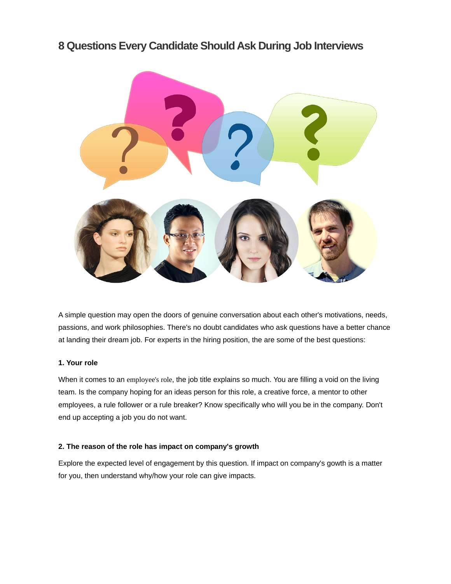# **8 Questions Every Candidate Should Ask During Job Interviews**



A simple question may open the doors of genuine conversation about each other's motivations, needs, passions, and work philosophies. There's no doubt candidates who ask questions have a better chance at landing their dream job. For experts in the hiring position, the are some of the best questions:

## **1. Your role**

When it comes to an employee's role, the job title explains so much. You are filling a void on the living team. Is the company hoping for an ideas person for this role, a creative force, a mentor to other employees, a rule follower or a rule breaker? Know specifically who will you be in the company. Don't end up accepting a job you do not want.

# **2. The reason of the role has impact on company's growth**

Explore the expected level of engagement by this question. If impact on company's gowth is a matter for you, then understand why/how your role can give impacts.